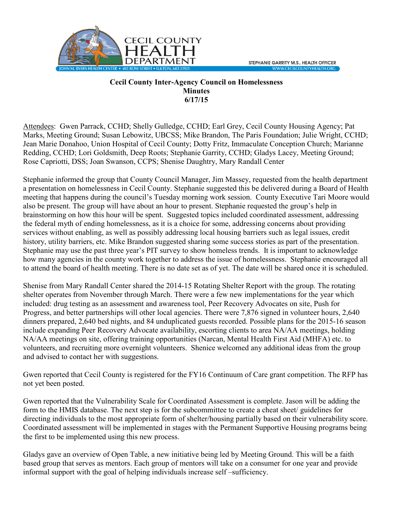

## **Cecil County Inter-Agency Council on Homelessness Minutes 6/17/15**

Attendees: Gwen Parrack, CCHD; Shelly Gulledge, CCHD; Earl Grey, Cecil County Housing Agency; Pat Marks, Meeting Ground; Susan Lebowitz, UBCSS; Mike Brandon, The Paris Foundation; Julie Wright, CCHD; Jean Marie Donahoo, Union Hospital of Cecil County; Dotty Fritz, Immaculate Conception Church; Marianne Redding, CCHD; Lori Goldsmith, Deep Roots; Stephanie Garrity, CCHD; Gladys Lacey, Meeting Ground; Rose Capriotti, DSS; Joan Swanson, CCPS; Shenise Daughtry, Mary Randall Center

Stephanie informed the group that County Council Manager, Jim Massey, requested from the health department a presentation on homelessness in Cecil County. Stephanie suggested this be delivered during a Board of Health meeting that happens during the council's Tuesday morning work session. County Executive Tari Moore would also be present. The group will have about an hour to present. Stephanie requested the group's help in brainstorming on how this hour will be spent. Suggested topics included coordinated assessment, addressing the federal myth of ending homelessness, as it is a choice for some, addressing concerns about providing services without enabling, as well as possibly addressing local housing barriers such as legal issues, credit history, utility barriers, etc. Mike Brandon suggested sharing some success stories as part of the presentation. Stephanie may use the past three year's PIT survey to show homeless trends. It is important to acknowledge how many agencies in the county work together to address the issue of homelessness. Stephanie encouraged all to attend the board of health meeting. There is no date set as of yet. The date will be shared once it is scheduled.

Shenise from Mary Randall Center shared the 2014-15 Rotating Shelter Report with the group. The rotating shelter operates from November through March. There were a few new implementations for the year which included: drug testing as an assessment and awareness tool, Peer Recovery Advocates on site, Push for Progress, and better partnerships will other local agencies. There were 7,876 signed in volunteer hours, 2,640 dinners prepared, 2,640 bed nights, and 84 unduplicated guests recorded. Possible plans for the 2015-16 season include expanding Peer Recovery Advocate availability, escorting clients to area NA/AA meetings, holding NA/AA meetings on site, offering training opportunities (Narcan, Mental Health First Aid (MHFA) etc. to volunteers, and recruiting more overnight volunteers. Shenice welcomed any additional ideas from the group and advised to contact her with suggestions.

Gwen reported that Cecil County is registered for the FY16 Continuum of Care grant competition. The RFP has not yet been posted.

Gwen reported that the Vulnerability Scale for Coordinated Assessment is complete. Jason will be adding the form to the HMIS database. The next step is for the subcommittee to create a cheat sheet/ guidelines for directing individuals to the most appropriate form of shelter/housing partially based on their vulnerability score. Coordinated assessment will be implemented in stages with the Permanent Supportive Housing programs being the first to be implemented using this new process.

Gladys gave an overview of Open Table, a new initiative being led by Meeting Ground. This will be a faith based group that serves as mentors. Each group of mentors will take on a consumer for one year and provide informal support with the goal of helping individuals increase self –sufficiency.